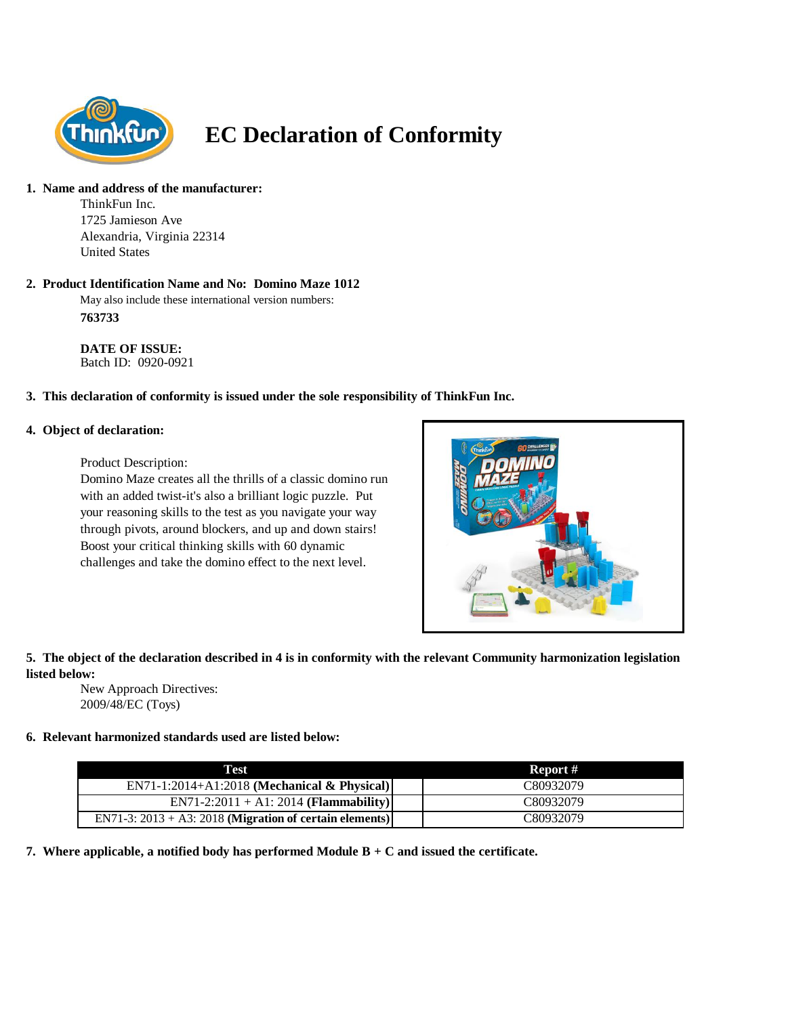

# **EC Declaration of Conformity**

# **1. Name and address of the manufacturer:**

ThinkFun Inc. 1725 Jamieson Ave Alexandria, Virginia 22314 United States

#### **2. Product Identification Name and No: Domino Maze 1012**

May also include these international version numbers: **763733**

**DATE OF ISSUE:**  Batch ID: 0920-0921

# **3. This declaration of conformity is issued under the sole responsibility of ThinkFun Inc.**

#### **4. Object of declaration:**

Product Description:

Domino Maze creates all the thrills of a classic domino run with an added twist-it's also a brilliant logic puzzle. Put your reasoning skills to the test as you navigate your way through pivots, around blockers, and up and down stairs! Boost your critical thinking skills with 60 dynamic challenges and take the domino effect to the next level.



# **5. The object of the declaration described in 4 is in conformity with the relevant Community harmonization legislation listed below:**

New Approach Directives: 2009/48/EC (Toys)

# **6. Relevant harmonized standards used are listed below:**

| Test                                                       | Report #  |
|------------------------------------------------------------|-----------|
| $EN71-1:2014+A1:2018$ (Mechanical & Physical)              | C80932079 |
| $EN71-2:2011 + A1:2014 (Flammablity)$                      | C80932079 |
| EN71-3: $2013 + A3$ : 2018 (Migration of certain elements) | C80932079 |

**7. Where applicable, a notified body has performed Module B + C and issued the certificate.**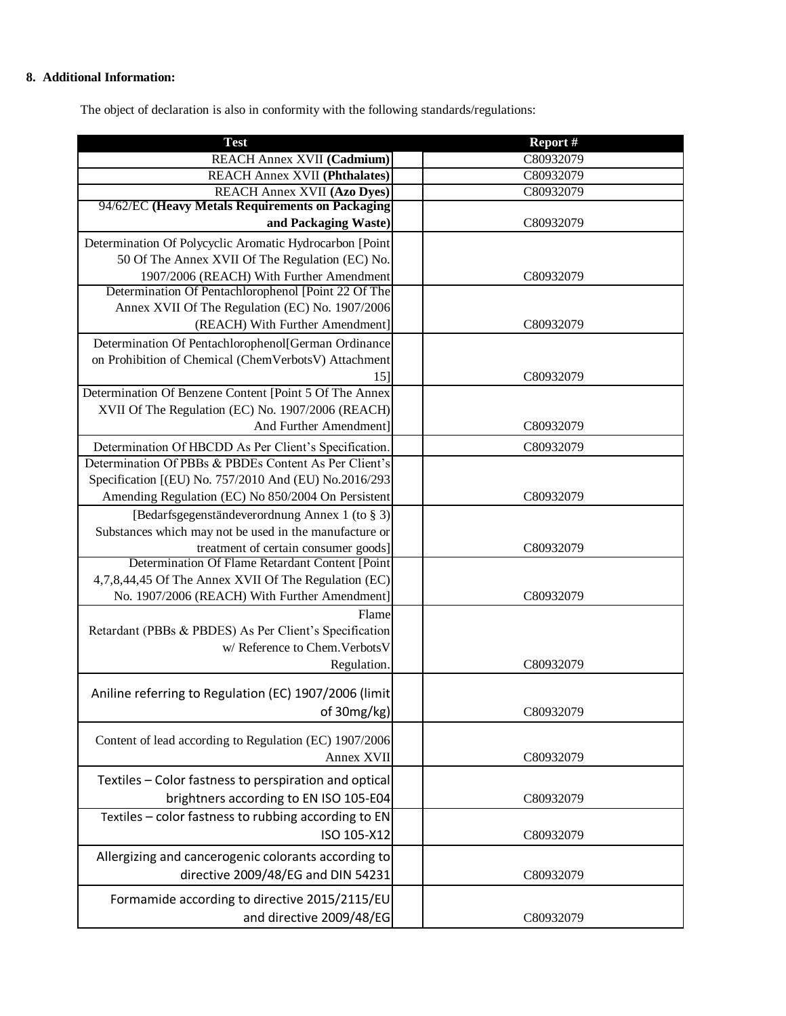# **8. Additional Information:**

The object of declaration is also in conformity with the following standards/regulations:

| <b>Test</b>                                                                                                 | Report #  |
|-------------------------------------------------------------------------------------------------------------|-----------|
| REACH Annex XVII (Cadmium)                                                                                  | C80932079 |
| <b>REACH Annex XVII (Phthalates)</b>                                                                        | C80932079 |
| <b>REACH Annex XVII (Azo Dyes)</b>                                                                          | C80932079 |
| 94/62/EC (Heavy Metals Requirements on Packaging                                                            |           |
| and Packaging Waste)                                                                                        | C80932079 |
| Determination Of Polycyclic Aromatic Hydrocarbon [Point                                                     |           |
| 50 Of The Annex XVII Of The Regulation (EC) No.                                                             |           |
| 1907/2006 (REACH) With Further Amendment                                                                    | C80932079 |
| Determination Of Pentachlorophenol [Point 22 Of The                                                         |           |
| Annex XVII Of The Regulation (EC) No. 1907/2006                                                             |           |
| (REACH) With Further Amendment]                                                                             | C80932079 |
| Determination Of Pentachlorophenol[German Ordinance                                                         |           |
| on Prohibition of Chemical (ChemVerbotsV) Attachment                                                        |           |
| 15]                                                                                                         | C80932079 |
| Determination Of Benzene Content [Point 5 Of The Annex<br>XVII Of The Regulation (EC) No. 1907/2006 (REACH) |           |
| And Further Amendment]                                                                                      | C80932079 |
|                                                                                                             |           |
| Determination Of HBCDD As Per Client's Specification.                                                       | C80932079 |
| Determination Of PBBs & PBDEs Content As Per Client's                                                       |           |
| Specification [(EU) No. 757/2010 And (EU) No.2016/293                                                       |           |
| Amending Regulation (EC) No 850/2004 On Persistent                                                          | C80932079 |
| [Bedarfsgegenständeverordnung Annex 1 (to § 3)]                                                             |           |
| Substances which may not be used in the manufacture or<br>treatment of certain consumer goods]              | C80932079 |
| Determination Of Flame Retardant Content [Point                                                             |           |
| 4,7,8,44,45 Of The Annex XVII Of The Regulation (EC)                                                        |           |
| No. 1907/2006 (REACH) With Further Amendment]                                                               | C80932079 |
| Flame                                                                                                       |           |
| Retardant (PBBs & PBDES) As Per Client's Specification                                                      |           |
| w/ Reference to Chem. Verbots V                                                                             |           |
| Regulation.                                                                                                 | C80932079 |
|                                                                                                             |           |
| Aniline referring to Regulation (EC) 1907/2006 (limit                                                       |           |
| of 30mg/kg)                                                                                                 | C80932079 |
| Content of lead according to Regulation (EC) 1907/2006                                                      |           |
| Annex XVII                                                                                                  | C80932079 |
|                                                                                                             |           |
| Textiles - Color fastness to perspiration and optical                                                       |           |
| brightners according to EN ISO 105-E04                                                                      | C80932079 |
| Textiles - color fastness to rubbing according to EN                                                        |           |
| ISO 105-X12                                                                                                 | C80932079 |
| Allergizing and cancerogenic colorants according to                                                         |           |
| directive 2009/48/EG and DIN 54231                                                                          | C80932079 |
|                                                                                                             |           |
| Formamide according to directive 2015/2115/EU                                                               |           |
| and directive 2009/48/EG                                                                                    | C80932079 |